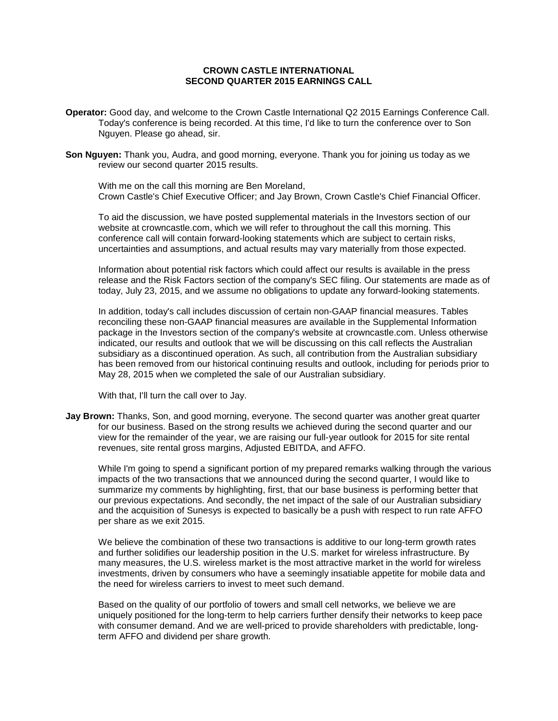# **CROWN CASTLE INTERNATIONAL SECOND QUARTER 2015 EARNINGS CALL**

- **Operator:** Good day, and welcome to the Crown Castle International Q2 2015 Earnings Conference Call. Today's conference is being recorded. At this time, I'd like to turn the conference over to Son Nguyen. Please go ahead, sir.
- **Son Nguyen:** Thank you, Audra, and good morning, everyone. Thank you for joining us today as we review our second quarter 2015 results.

With me on the call this morning are Ben Moreland, Crown Castle's Chief Executive Officer; and Jay Brown, Crown Castle's Chief Financial Officer.

To aid the discussion, we have posted supplemental materials in the Investors section of our website at crowncastle.com, which we will refer to throughout the call this morning. This conference call will contain forward-looking statements which are subject to certain risks, uncertainties and assumptions, and actual results may vary materially from those expected.

Information about potential risk factors which could affect our results is available in the press release and the Risk Factors section of the company's SEC filing. Our statements are made as of today, July 23, 2015, and we assume no obligations to update any forward-looking statements.

In addition, today's call includes discussion of certain non-GAAP financial measures. Tables reconciling these non-GAAP financial measures are available in the Supplemental Information package in the Investors section of the company's website at crowncastle.com. Unless otherwise indicated, our results and outlook that we will be discussing on this call reflects the Australian subsidiary as a discontinued operation. As such, all contribution from the Australian subsidiary has been removed from our historical continuing results and outlook, including for periods prior to May 28, 2015 when we completed the sale of our Australian subsidiary.

With that, I'll turn the call over to Jay.

**Jay Brown:** Thanks, Son, and good morning, everyone. The second quarter was another great quarter for our business. Based on the strong results we achieved during the second quarter and our view for the remainder of the year, we are raising our full-year outlook for 2015 for site rental revenues, site rental gross margins, Adjusted EBITDA, and AFFO.

While I'm going to spend a significant portion of my prepared remarks walking through the various impacts of the two transactions that we announced during the second quarter, I would like to summarize my comments by highlighting, first, that our base business is performing better that our previous expectations. And secondly, the net impact of the sale of our Australian subsidiary and the acquisition of Sunesys is expected to basically be a push with respect to run rate AFFO per share as we exit 2015.

We believe the combination of these two transactions is additive to our long-term growth rates and further solidifies our leadership position in the U.S. market for wireless infrastructure. By many measures, the U.S. wireless market is the most attractive market in the world for wireless investments, driven by consumers who have a seemingly insatiable appetite for mobile data and the need for wireless carriers to invest to meet such demand.

Based on the quality of our portfolio of towers and small cell networks, we believe we are uniquely positioned for the long-term to help carriers further densify their networks to keep pace with consumer demand. And we are well-priced to provide shareholders with predictable, longterm AFFO and dividend per share growth.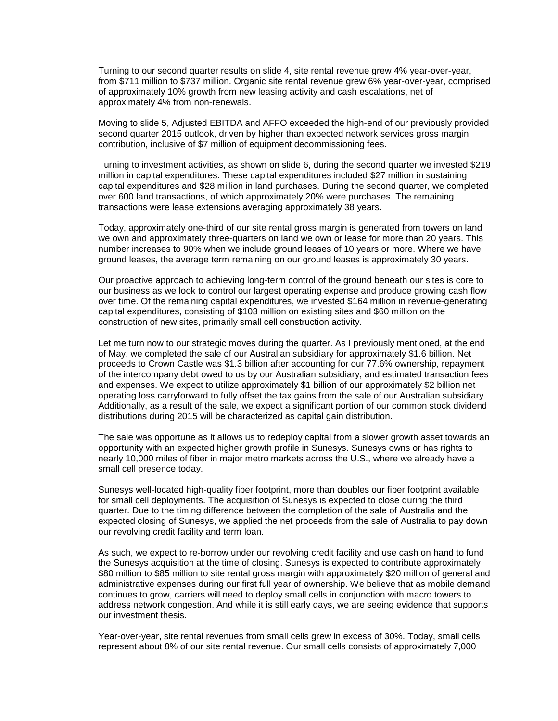Turning to our second quarter results on slide 4, site rental revenue grew 4% year-over-year, from \$711 million to \$737 million. Organic site rental revenue grew 6% year-over-year, comprised of approximately 10% growth from new leasing activity and cash escalations, net of approximately 4% from non-renewals.

Moving to slide 5, Adjusted EBITDA and AFFO exceeded the high-end of our previously provided second quarter 2015 outlook, driven by higher than expected network services gross margin contribution, inclusive of \$7 million of equipment decommissioning fees.

Turning to investment activities, as shown on slide 6, during the second quarter we invested \$219 million in capital expenditures. These capital expenditures included \$27 million in sustaining capital expenditures and \$28 million in land purchases. During the second quarter, we completed over 600 land transactions, of which approximately 20% were purchases. The remaining transactions were lease extensions averaging approximately 38 years.

Today, approximately one-third of our site rental gross margin is generated from towers on land we own and approximately three-quarters on land we own or lease for more than 20 years. This number increases to 90% when we include ground leases of 10 years or more. Where we have ground leases, the average term remaining on our ground leases is approximately 30 years.

Our proactive approach to achieving long-term control of the ground beneath our sites is core to our business as we look to control our largest operating expense and produce growing cash flow over time. Of the remaining capital expenditures, we invested \$164 million in revenue-generating capital expenditures, consisting of \$103 million on existing sites and \$60 million on the construction of new sites, primarily small cell construction activity.

Let me turn now to our strategic moves during the quarter. As I previously mentioned, at the end of May, we completed the sale of our Australian subsidiary for approximately \$1.6 billion. Net proceeds to Crown Castle was \$1.3 billion after accounting for our 77.6% ownership, repayment of the intercompany debt owed to us by our Australian subsidiary, and estimated transaction fees and expenses. We expect to utilize approximately \$1 billion of our approximately \$2 billion net operating loss carryforward to fully offset the tax gains from the sale of our Australian subsidiary. Additionally, as a result of the sale, we expect a significant portion of our common stock dividend distributions during 2015 will be characterized as capital gain distribution.

The sale was opportune as it allows us to redeploy capital from a slower growth asset towards an opportunity with an expected higher growth profile in Sunesys. Sunesys owns or has rights to nearly 10,000 miles of fiber in major metro markets across the U.S., where we already have a small cell presence today.

Sunesys well-located high-quality fiber footprint, more than doubles our fiber footprint available for small cell deployments. The acquisition of Sunesys is expected to close during the third quarter. Due to the timing difference between the completion of the sale of Australia and the expected closing of Sunesys, we applied the net proceeds from the sale of Australia to pay down our revolving credit facility and term loan.

As such, we expect to re-borrow under our revolving credit facility and use cash on hand to fund the Sunesys acquisition at the time of closing. Sunesys is expected to contribute approximately \$80 million to \$85 million to site rental gross margin with approximately \$20 million of general and administrative expenses during our first full year of ownership. We believe that as mobile demand continues to grow, carriers will need to deploy small cells in conjunction with macro towers to address network congestion. And while it is still early days, we are seeing evidence that supports our investment thesis.

Year-over-year, site rental revenues from small cells grew in excess of 30%. Today, small cells represent about 8% of our site rental revenue. Our small cells consists of approximately 7,000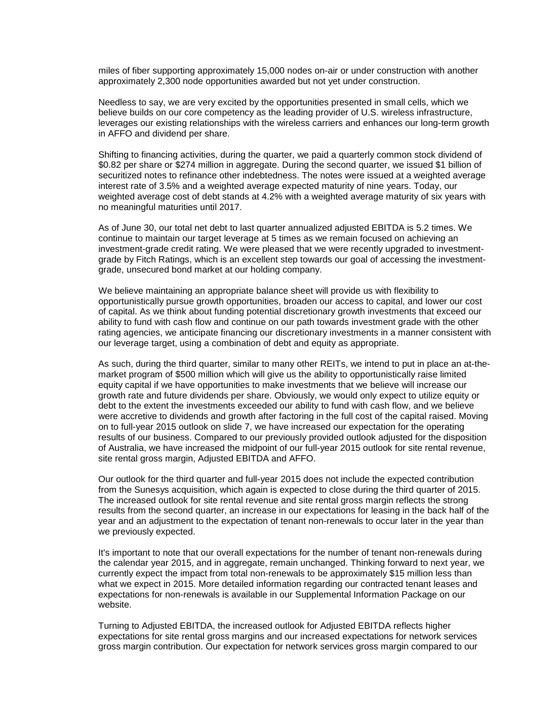miles of fiber supporting approximately 15,000 nodes on-air or under construction with another approximately 2,300 node opportunities awarded but not yet under construction.

Needless to say, we are very excited by the opportunities presented in small cells, which we believe builds on our core competency as the leading provider of U.S. wireless infrastructure, leverages our existing relationships with the wireless carriers and enhances our long-term growth in AFFO and dividend per share.

Shifting to financing activities, during the quarter, we paid a quarterly common stock dividend of \$0.82 per share or \$274 million in aggregate. During the second quarter, we issued \$1 billion of securitized notes to refinance other indebtedness. The notes were issued at a weighted average interest rate of 3.5% and a weighted average expected maturity of nine years. Today, our weighted average cost of debt stands at 4.2% with a weighted average maturity of six years with no meaningful maturities until 2017.

As of June 30, our total net debt to last quarter annualized adjusted EBITDA is 5.2 times. We continue to maintain our target leverage at 5 times as we remain focused on achieving an investment-grade credit rating. We were pleased that we were recently upgraded to investmentgrade by Fitch Ratings, which is an excellent step towards our goal of accessing the investmentgrade, unsecured bond market at our holding company.

We believe maintaining an appropriate balance sheet will provide us with flexibility to opportunistically pursue growth opportunities, broaden our access to capital, and lower our cost of capital. As we think about funding potential discretionary growth investments that exceed our ability to fund with cash flow and continue on our path towards investment grade with the other rating agencies, we anticipate financing our discretionary investments in a manner consistent with our leverage target, using a combination of debt and equity as appropriate.

As such, during the third quarter, similar to many other REITs, we intend to put in place an at-themarket program of \$500 million which will give us the ability to opportunistically raise limited equity capital if we have opportunities to make investments that we believe will increase our growth rate and future dividends per share. Obviously, we would only expect to utilize equity or debt to the extent the investments exceeded our ability to fund with cash flow, and we believe were accretive to dividends and growth after factoring in the full cost of the capital raised. Moving on to full-year 2015 outlook on slide 7, we have increased our expectation for the operating results of our business. Compared to our previously provided outlook adjusted for the disposition of Australia, we have increased the midpoint of our full-year 2015 outlook for site rental revenue, site rental gross margin, Adjusted EBITDA and AFFO.

Our outlook for the third quarter and full-year 2015 does not include the expected contribution from the Sunesys acquisition, which again is expected to close during the third quarter of 2015. The increased outlook for site rental revenue and site rental gross margin reflects the strong results from the second quarter, an increase in our expectations for leasing in the back half of the year and an adjustment to the expectation of tenant non-renewals to occur later in the year than we previously expected.

It's important to note that our overall expectations for the number of tenant non-renewals during the calendar year 2015, and in aggregate, remain unchanged. Thinking forward to next year, we currently expect the impact from total non-renewals to be approximately \$15 million less than what we expect in 2015. More detailed information regarding our contracted tenant leases and expectations for non-renewals is available in our Supplemental Information Package on our website.

Turning to Adjusted EBITDA, the increased outlook for Adjusted EBITDA reflects higher expectations for site rental gross margins and our increased expectations for network services gross margin contribution. Our expectation for network services gross margin compared to our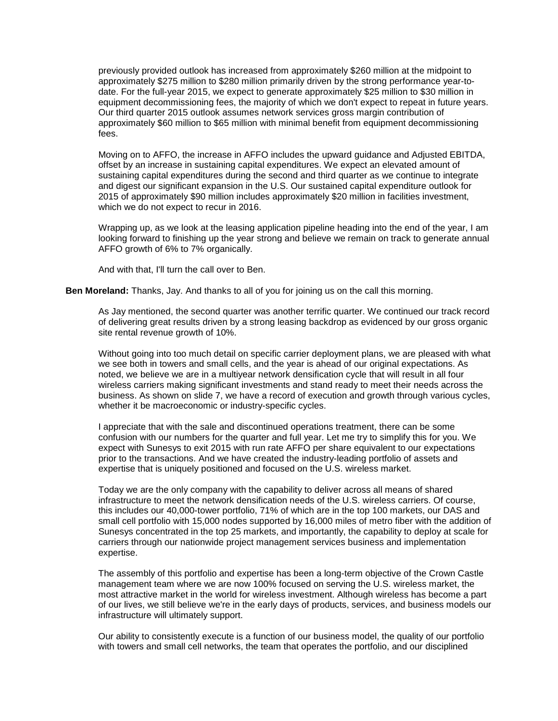previously provided outlook has increased from approximately \$260 million at the midpoint to approximately \$275 million to \$280 million primarily driven by the strong performance year-todate. For the full-year 2015, we expect to generate approximately \$25 million to \$30 million in equipment decommissioning fees, the majority of which we don't expect to repeat in future years. Our third quarter 2015 outlook assumes network services gross margin contribution of approximately \$60 million to \$65 million with minimal benefit from equipment decommissioning fees.

Moving on to AFFO, the increase in AFFO includes the upward guidance and Adjusted EBITDA, offset by an increase in sustaining capital expenditures. We expect an elevated amount of sustaining capital expenditures during the second and third quarter as we continue to integrate and digest our significant expansion in the U.S. Our sustained capital expenditure outlook for 2015 of approximately \$90 million includes approximately \$20 million in facilities investment, which we do not expect to recur in 2016.

Wrapping up, as we look at the leasing application pipeline heading into the end of the year, I am looking forward to finishing up the year strong and believe we remain on track to generate annual AFFO growth of 6% to 7% organically.

And with that, I'll turn the call over to Ben.

**Ben Moreland:** Thanks, Jay. And thanks to all of you for joining us on the call this morning.

As Jay mentioned, the second quarter was another terrific quarter. We continued our track record of delivering great results driven by a strong leasing backdrop as evidenced by our gross organic site rental revenue growth of 10%.

Without going into too much detail on specific carrier deployment plans, we are pleased with what we see both in towers and small cells, and the year is ahead of our original expectations. As noted, we believe we are in a multiyear network densification cycle that will result in all four wireless carriers making significant investments and stand ready to meet their needs across the business. As shown on slide 7, we have a record of execution and growth through various cycles, whether it be macroeconomic or industry-specific cycles.

I appreciate that with the sale and discontinued operations treatment, there can be some confusion with our numbers for the quarter and full year. Let me try to simplify this for you. We expect with Sunesys to exit 2015 with run rate AFFO per share equivalent to our expectations prior to the transactions. And we have created the industry-leading portfolio of assets and expertise that is uniquely positioned and focused on the U.S. wireless market.

Today we are the only company with the capability to deliver across all means of shared infrastructure to meet the network densification needs of the U.S. wireless carriers. Of course, this includes our 40,000-tower portfolio, 71% of which are in the top 100 markets, our DAS and small cell portfolio with 15,000 nodes supported by 16,000 miles of metro fiber with the addition of Sunesys concentrated in the top 25 markets, and importantly, the capability to deploy at scale for carriers through our nationwide project management services business and implementation expertise.

The assembly of this portfolio and expertise has been a long-term objective of the Crown Castle management team where we are now 100% focused on serving the U.S. wireless market, the most attractive market in the world for wireless investment. Although wireless has become a part of our lives, we still believe we're in the early days of products, services, and business models our infrastructure will ultimately support.

Our ability to consistently execute is a function of our business model, the quality of our portfolio with towers and small cell networks, the team that operates the portfolio, and our disciplined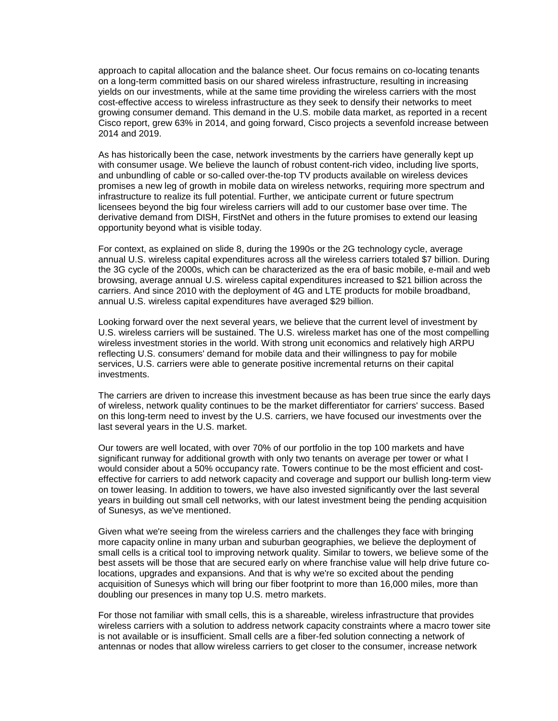approach to capital allocation and the balance sheet. Our focus remains on co-locating tenants on a long-term committed basis on our shared wireless infrastructure, resulting in increasing yields on our investments, while at the same time providing the wireless carriers with the most cost-effective access to wireless infrastructure as they seek to densify their networks to meet growing consumer demand. This demand in the U.S. mobile data market, as reported in a recent Cisco report, grew 63% in 2014, and going forward, Cisco projects a sevenfold increase between 2014 and 2019.

As has historically been the case, network investments by the carriers have generally kept up with consumer usage. We believe the launch of robust content-rich video, including live sports, and unbundling of cable or so-called over-the-top TV products available on wireless devices promises a new leg of growth in mobile data on wireless networks, requiring more spectrum and infrastructure to realize its full potential. Further, we anticipate current or future spectrum licensees beyond the big four wireless carriers will add to our customer base over time. The derivative demand from DISH, FirstNet and others in the future promises to extend our leasing opportunity beyond what is visible today.

For context, as explained on slide 8, during the 1990s or the 2G technology cycle, average annual U.S. wireless capital expenditures across all the wireless carriers totaled \$7 billion. During the 3G cycle of the 2000s, which can be characterized as the era of basic mobile, e-mail and web browsing, average annual U.S. wireless capital expenditures increased to \$21 billion across the carriers. And since 2010 with the deployment of 4G and LTE products for mobile broadband, annual U.S. wireless capital expenditures have averaged \$29 billion.

Looking forward over the next several years, we believe that the current level of investment by U.S. wireless carriers will be sustained. The U.S. wireless market has one of the most compelling wireless investment stories in the world. With strong unit economics and relatively high ARPU reflecting U.S. consumers' demand for mobile data and their willingness to pay for mobile services, U.S. carriers were able to generate positive incremental returns on their capital investments.

The carriers are driven to increase this investment because as has been true since the early days of wireless, network quality continues to be the market differentiator for carriers' success. Based on this long-term need to invest by the U.S. carriers, we have focused our investments over the last several years in the U.S. market.

Our towers are well located, with over 70% of our portfolio in the top 100 markets and have significant runway for additional growth with only two tenants on average per tower or what I would consider about a 50% occupancy rate. Towers continue to be the most efficient and costeffective for carriers to add network capacity and coverage and support our bullish long-term view on tower leasing. In addition to towers, we have also invested significantly over the last several years in building out small cell networks, with our latest investment being the pending acquisition of Sunesys, as we've mentioned.

Given what we're seeing from the wireless carriers and the challenges they face with bringing more capacity online in many urban and suburban geographies, we believe the deployment of small cells is a critical tool to improving network quality. Similar to towers, we believe some of the best assets will be those that are secured early on where franchise value will help drive future colocations, upgrades and expansions. And that is why we're so excited about the pending acquisition of Sunesys which will bring our fiber footprint to more than 16,000 miles, more than doubling our presences in many top U.S. metro markets.

For those not familiar with small cells, this is a shareable, wireless infrastructure that provides wireless carriers with a solution to address network capacity constraints where a macro tower site is not available or is insufficient. Small cells are a fiber-fed solution connecting a network of antennas or nodes that allow wireless carriers to get closer to the consumer, increase network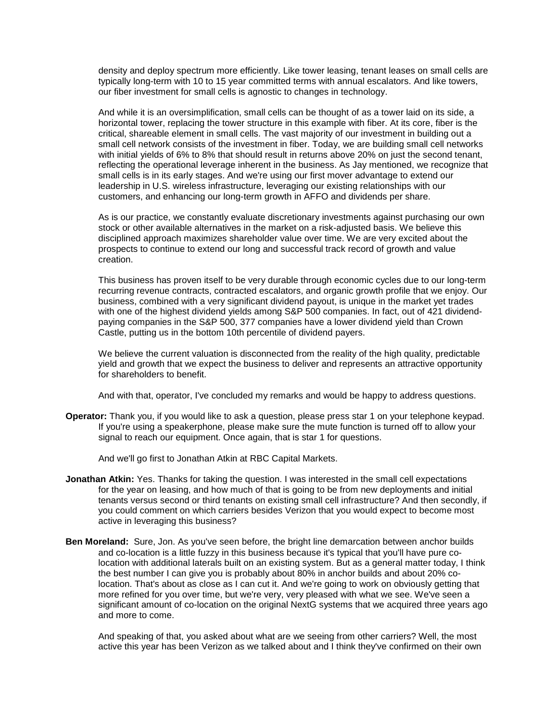density and deploy spectrum more efficiently. Like tower leasing, tenant leases on small cells are typically long-term with 10 to 15 year committed terms with annual escalators. And like towers, our fiber investment for small cells is agnostic to changes in technology.

And while it is an oversimplification, small cells can be thought of as a tower laid on its side, a horizontal tower, replacing the tower structure in this example with fiber. At its core, fiber is the critical, shareable element in small cells. The vast majority of our investment in building out a small cell network consists of the investment in fiber. Today, we are building small cell networks with initial yields of 6% to 8% that should result in returns above 20% on just the second tenant, reflecting the operational leverage inherent in the business. As Jay mentioned, we recognize that small cells is in its early stages. And we're using our first mover advantage to extend our leadership in U.S. wireless infrastructure, leveraging our existing relationships with our customers, and enhancing our long-term growth in AFFO and dividends per share.

As is our practice, we constantly evaluate discretionary investments against purchasing our own stock or other available alternatives in the market on a risk-adjusted basis. We believe this disciplined approach maximizes shareholder value over time. We are very excited about the prospects to continue to extend our long and successful track record of growth and value creation.

This business has proven itself to be very durable through economic cycles due to our long-term recurring revenue contracts, contracted escalators, and organic growth profile that we enjoy. Our business, combined with a very significant dividend payout, is unique in the market yet trades with one of the highest dividend yields among S&P 500 companies. In fact, out of 421 dividendpaying companies in the S&P 500, 377 companies have a lower dividend yield than Crown Castle, putting us in the bottom 10th percentile of dividend payers.

We believe the current valuation is disconnected from the reality of the high quality, predictable yield and growth that we expect the business to deliver and represents an attractive opportunity for shareholders to benefit.

And with that, operator, I've concluded my remarks and would be happy to address questions.

**Operator:** Thank you, if you would like to ask a question, please press star 1 on your telephone keypad. If you're using a speakerphone, please make sure the mute function is turned off to allow your signal to reach our equipment. Once again, that is star 1 for questions.

And we'll go first to Jonathan Atkin at RBC Capital Markets.

- **Jonathan Atkin:** Yes. Thanks for taking the question. I was interested in the small cell expectations for the year on leasing, and how much of that is going to be from new deployments and initial tenants versus second or third tenants on existing small cell infrastructure? And then secondly, if you could comment on which carriers besides Verizon that you would expect to become most active in leveraging this business?
- **Ben Moreland:** Sure, Jon. As you've seen before, the bright line demarcation between anchor builds and co-location is a little fuzzy in this business because it's typical that you'll have pure colocation with additional laterals built on an existing system. But as a general matter today, I think the best number I can give you is probably about 80% in anchor builds and about 20% colocation. That's about as close as I can cut it. And we're going to work on obviously getting that more refined for you over time, but we're very, very pleased with what we see. We've seen a significant amount of co-location on the original NextG systems that we acquired three years ago and more to come.

And speaking of that, you asked about what are we seeing from other carriers? Well, the most active this year has been Verizon as we talked about and I think they've confirmed on their own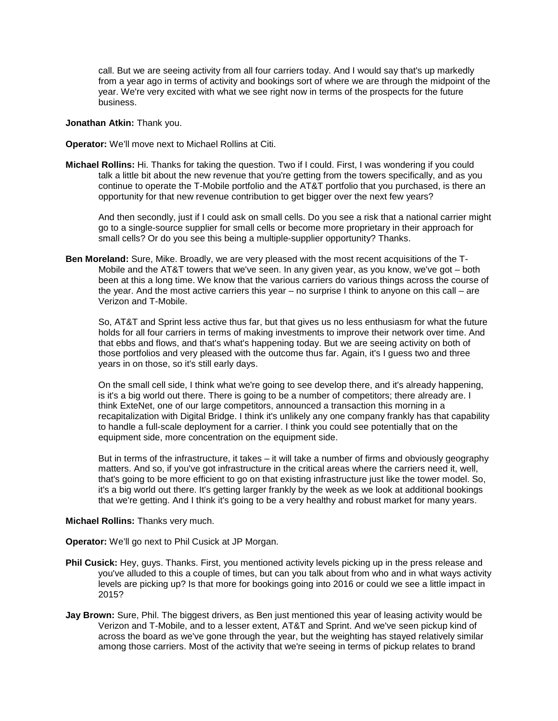call. But we are seeing activity from all four carriers today. And I would say that's up markedly from a year ago in terms of activity and bookings sort of where we are through the midpoint of the year. We're very excited with what we see right now in terms of the prospects for the future business.

### **Jonathan Atkin:** Thank you.

**Operator:** We'll move next to Michael Rollins at Citi.

**Michael Rollins:** Hi. Thanks for taking the question. Two if I could. First, I was wondering if you could talk a little bit about the new revenue that you're getting from the towers specifically, and as you continue to operate the T-Mobile portfolio and the AT&T portfolio that you purchased, is there an opportunity for that new revenue contribution to get bigger over the next few years?

And then secondly, just if I could ask on small cells. Do you see a risk that a national carrier might go to a single-source supplier for small cells or become more proprietary in their approach for small cells? Or do you see this being a multiple-supplier opportunity? Thanks.

**Ben Moreland:** Sure, Mike. Broadly, we are very pleased with the most recent acquisitions of the T-Mobile and the AT&T towers that we've seen. In any given year, as you know, we've got – both been at this a long time. We know that the various carriers do various things across the course of the year. And the most active carriers this year – no surprise I think to anyone on this call – are Verizon and T-Mobile.

So, AT&T and Sprint less active thus far, but that gives us no less enthusiasm for what the future holds for all four carriers in terms of making investments to improve their network over time. And that ebbs and flows, and that's what's happening today. But we are seeing activity on both of those portfolios and very pleased with the outcome thus far. Again, it's I guess two and three years in on those, so it's still early days.

On the small cell side, I think what we're going to see develop there, and it's already happening, is it's a big world out there. There is going to be a number of competitors; there already are. I think ExteNet, one of our large competitors, announced a transaction this morning in a recapitalization with Digital Bridge. I think it's unlikely any one company frankly has that capability to handle a full-scale deployment for a carrier. I think you could see potentially that on the equipment side, more concentration on the equipment side.

But in terms of the infrastructure, it takes – it will take a number of firms and obviously geography matters. And so, if you've got infrastructure in the critical areas where the carriers need it, well, that's going to be more efficient to go on that existing infrastructure just like the tower model. So, it's a big world out there. It's getting larger frankly by the week as we look at additional bookings that we're getting. And I think it's going to be a very healthy and robust market for many years.

#### **Michael Rollins:** Thanks very much.

**Operator:** We'll go next to Phil Cusick at JP Morgan.

- **Phil Cusick:** Hey, guys. Thanks. First, you mentioned activity levels picking up in the press release and you've alluded to this a couple of times, but can you talk about from who and in what ways activity levels are picking up? Is that more for bookings going into 2016 or could we see a little impact in 2015?
- **Jay Brown:** Sure, Phil. The biggest drivers, as Ben just mentioned this year of leasing activity would be Verizon and T-Mobile, and to a lesser extent, AT&T and Sprint. And we've seen pickup kind of across the board as we've gone through the year, but the weighting has stayed relatively similar among those carriers. Most of the activity that we're seeing in terms of pickup relates to brand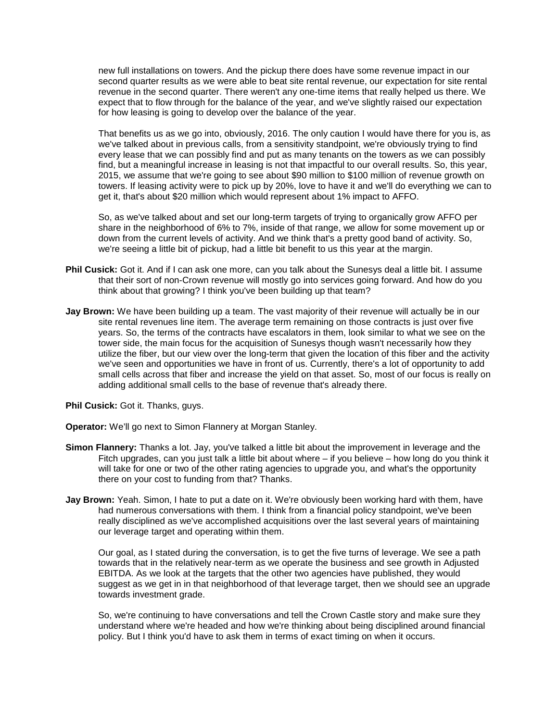new full installations on towers. And the pickup there does have some revenue impact in our second quarter results as we were able to beat site rental revenue, our expectation for site rental revenue in the second quarter. There weren't any one-time items that really helped us there. We expect that to flow through for the balance of the year, and we've slightly raised our expectation for how leasing is going to develop over the balance of the year.

That benefits us as we go into, obviously, 2016. The only caution I would have there for you is, as we've talked about in previous calls, from a sensitivity standpoint, we're obviously trying to find every lease that we can possibly find and put as many tenants on the towers as we can possibly find, but a meaningful increase in leasing is not that impactful to our overall results. So, this year, 2015, we assume that we're going to see about \$90 million to \$100 million of revenue growth on towers. If leasing activity were to pick up by 20%, love to have it and we'll do everything we can to get it, that's about \$20 million which would represent about 1% impact to AFFO.

So, as we've talked about and set our long-term targets of trying to organically grow AFFO per share in the neighborhood of 6% to 7%, inside of that range, we allow for some movement up or down from the current levels of activity. And we think that's a pretty good band of activity. So, we're seeing a little bit of pickup, had a little bit benefit to us this year at the margin.

- **Phil Cusick:** Got it. And if I can ask one more, can you talk about the Sunesys deal a little bit. I assume that their sort of non-Crown revenue will mostly go into services going forward. And how do you think about that growing? I think you've been building up that team?
- **Jay Brown:** We have been building up a team. The vast majority of their revenue will actually be in our site rental revenues line item. The average term remaining on those contracts is just over five years. So, the terms of the contracts have escalators in them, look similar to what we see on the tower side, the main focus for the acquisition of Sunesys though wasn't necessarily how they utilize the fiber, but our view over the long-term that given the location of this fiber and the activity we've seen and opportunities we have in front of us. Currently, there's a lot of opportunity to add small cells across that fiber and increase the yield on that asset. So, most of our focus is really on adding additional small cells to the base of revenue that's already there.

**Phil Cusick:** Got it. Thanks, guys.

**Operator:** We'll go next to Simon Flannery at Morgan Stanley.

- **Simon Flannery:** Thanks a lot. Jay, you've talked a little bit about the improvement in leverage and the Fitch upgrades, can you just talk a little bit about where – if you believe – how long do you think it will take for one or two of the other rating agencies to upgrade you, and what's the opportunity there on your cost to funding from that? Thanks.
- **Jay Brown:** Yeah. Simon, I hate to put a date on it. We're obviously been working hard with them, have had numerous conversations with them. I think from a financial policy standpoint, we've been really disciplined as we've accomplished acquisitions over the last several years of maintaining our leverage target and operating within them.

Our goal, as I stated during the conversation, is to get the five turns of leverage. We see a path towards that in the relatively near-term as we operate the business and see growth in Adjusted EBITDA. As we look at the targets that the other two agencies have published, they would suggest as we get in in that neighborhood of that leverage target, then we should see an upgrade towards investment grade.

So, we're continuing to have conversations and tell the Crown Castle story and make sure they understand where we're headed and how we're thinking about being disciplined around financial policy. But I think you'd have to ask them in terms of exact timing on when it occurs.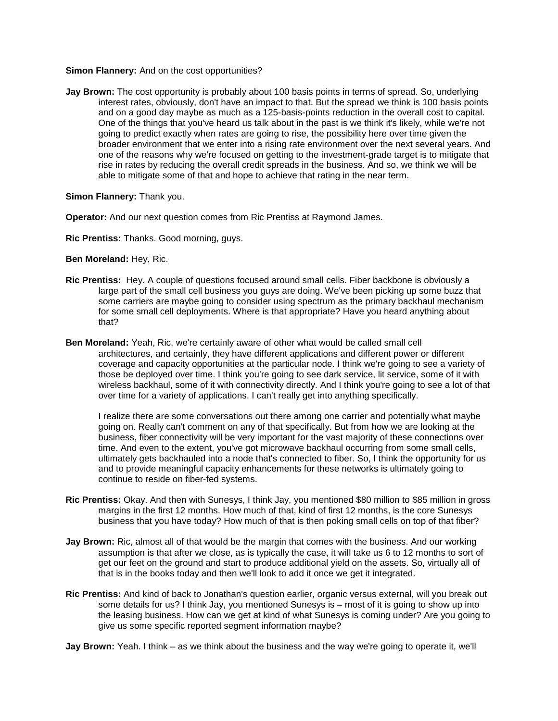### **Simon Flannery:** And on the cost opportunities?

**Jay Brown:** The cost opportunity is probably about 100 basis points in terms of spread. So, underlying interest rates, obviously, don't have an impact to that. But the spread we think is 100 basis points and on a good day maybe as much as a 125-basis-points reduction in the overall cost to capital. One of the things that you've heard us talk about in the past is we think it's likely, while we're not going to predict exactly when rates are going to rise, the possibility here over time given the broader environment that we enter into a rising rate environment over the next several years. And one of the reasons why we're focused on getting to the investment-grade target is to mitigate that rise in rates by reducing the overall credit spreads in the business. And so, we think we will be able to mitigate some of that and hope to achieve that rating in the near term.

**Simon Flannery:** Thank you.

**Operator:** And our next question comes from Ric Prentiss at Raymond James.

**Ric Prentiss:** Thanks. Good morning, guys.

**Ben Moreland:** Hey, Ric.

- **Ric Prentiss:** Hey. A couple of questions focused around small cells. Fiber backbone is obviously a large part of the small cell business you guys are doing. We've been picking up some buzz that some carriers are maybe going to consider using spectrum as the primary backhaul mechanism for some small cell deployments. Where is that appropriate? Have you heard anything about that?
- **Ben Moreland:** Yeah, Ric, we're certainly aware of other what would be called small cell architectures, and certainly, they have different applications and different power or different coverage and capacity opportunities at the particular node. I think we're going to see a variety of those be deployed over time. I think you're going to see dark service, lit service, some of it with wireless backhaul, some of it with connectivity directly. And I think you're going to see a lot of that over time for a variety of applications. I can't really get into anything specifically.

I realize there are some conversations out there among one carrier and potentially what maybe going on. Really can't comment on any of that specifically. But from how we are looking at the business, fiber connectivity will be very important for the vast majority of these connections over time. And even to the extent, you've got microwave backhaul occurring from some small cells, ultimately gets backhauled into a node that's connected to fiber. So, I think the opportunity for us and to provide meaningful capacity enhancements for these networks is ultimately going to continue to reside on fiber-fed systems.

- **Ric Prentiss:** Okay. And then with Sunesys, I think Jay, you mentioned \$80 million to \$85 million in gross margins in the first 12 months. How much of that, kind of first 12 months, is the core Sunesys business that you have today? How much of that is then poking small cells on top of that fiber?
- **Jay Brown:** Ric, almost all of that would be the margin that comes with the business. And our working assumption is that after we close, as is typically the case, it will take us 6 to 12 months to sort of get our feet on the ground and start to produce additional yield on the assets. So, virtually all of that is in the books today and then we'll look to add it once we get it integrated.
- **Ric Prentiss:** And kind of back to Jonathan's question earlier, organic versus external, will you break out some details for us? I think Jay, you mentioned Sunesys is – most of it is going to show up into the leasing business. How can we get at kind of what Sunesys is coming under? Are you going to give us some specific reported segment information maybe?

**Jay Brown:** Yeah. I think – as we think about the business and the way we're going to operate it, we'll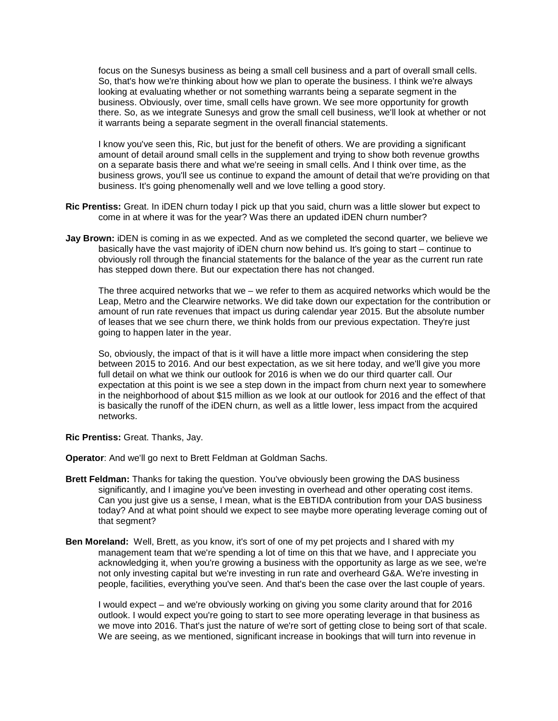focus on the Sunesys business as being a small cell business and a part of overall small cells. So, that's how we're thinking about how we plan to operate the business. I think we're always looking at evaluating whether or not something warrants being a separate segment in the business. Obviously, over time, small cells have grown. We see more opportunity for growth there. So, as we integrate Sunesys and grow the small cell business, we'll look at whether or not it warrants being a separate segment in the overall financial statements.

I know you've seen this, Ric, but just for the benefit of others. We are providing a significant amount of detail around small cells in the supplement and trying to show both revenue growths on a separate basis there and what we're seeing in small cells. And I think over time, as the business grows, you'll see us continue to expand the amount of detail that we're providing on that business. It's going phenomenally well and we love telling a good story.

- **Ric Prentiss:** Great. In iDEN churn today I pick up that you said, churn was a little slower but expect to come in at where it was for the year? Was there an updated iDEN churn number?
- **Jay Brown:** iDEN is coming in as we expected. And as we completed the second quarter, we believe we basically have the vast majority of iDEN churn now behind us. It's going to start – continue to obviously roll through the financial statements for the balance of the year as the current run rate has stepped down there. But our expectation there has not changed.

The three acquired networks that we – we refer to them as acquired networks which would be the Leap, Metro and the Clearwire networks. We did take down our expectation for the contribution or amount of run rate revenues that impact us during calendar year 2015. But the absolute number of leases that we see churn there, we think holds from our previous expectation. They're just going to happen later in the year.

So, obviously, the impact of that is it will have a little more impact when considering the step between 2015 to 2016. And our best expectation, as we sit here today, and we'll give you more full detail on what we think our outlook for 2016 is when we do our third quarter call. Our expectation at this point is we see a step down in the impact from churn next year to somewhere in the neighborhood of about \$15 million as we look at our outlook for 2016 and the effect of that is basically the runoff of the iDEN churn, as well as a little lower, less impact from the acquired networks.

**Ric Prentiss:** Great. Thanks, Jay.

**Operator**: And we'll go next to Brett Feldman at Goldman Sachs.

- **Brett Feldman:** Thanks for taking the question. You've obviously been growing the DAS business significantly, and I imagine you've been investing in overhead and other operating cost items. Can you just give us a sense, I mean, what is the EBTIDA contribution from your DAS business today? And at what point should we expect to see maybe more operating leverage coming out of that segment?
- **Ben Moreland:** Well, Brett, as you know, it's sort of one of my pet projects and I shared with my management team that we're spending a lot of time on this that we have, and I appreciate you acknowledging it, when you're growing a business with the opportunity as large as we see, we're not only investing capital but we're investing in run rate and overheard G&A. We're investing in people, facilities, everything you've seen. And that's been the case over the last couple of years.

I would expect – and we're obviously working on giving you some clarity around that for 2016 outlook. I would expect you're going to start to see more operating leverage in that business as we move into 2016. That's just the nature of we're sort of getting close to being sort of that scale. We are seeing, as we mentioned, significant increase in bookings that will turn into revenue in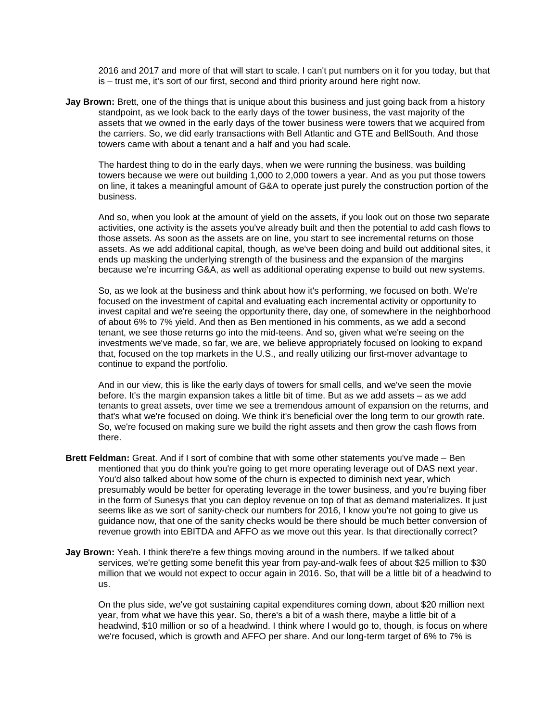2016 and 2017 and more of that will start to scale. I can't put numbers on it for you today, but that is – trust me, it's sort of our first, second and third priority around here right now.

**Jay Brown:** Brett, one of the things that is unique about this business and just going back from a history standpoint, as we look back to the early days of the tower business, the vast majority of the assets that we owned in the early days of the tower business were towers that we acquired from the carriers. So, we did early transactions with Bell Atlantic and GTE and BellSouth. And those towers came with about a tenant and a half and you had scale.

The hardest thing to do in the early days, when we were running the business, was building towers because we were out building 1,000 to 2,000 towers a year. And as you put those towers on line, it takes a meaningful amount of G&A to operate just purely the construction portion of the business.

And so, when you look at the amount of yield on the assets, if you look out on those two separate activities, one activity is the assets you've already built and then the potential to add cash flows to those assets. As soon as the assets are on line, you start to see incremental returns on those assets. As we add additional capital, though, as we've been doing and build out additional sites, it ends up masking the underlying strength of the business and the expansion of the margins because we're incurring G&A, as well as additional operating expense to build out new systems.

So, as we look at the business and think about how it's performing, we focused on both. We're focused on the investment of capital and evaluating each incremental activity or opportunity to invest capital and we're seeing the opportunity there, day one, of somewhere in the neighborhood of about 6% to 7% yield. And then as Ben mentioned in his comments, as we add a second tenant, we see those returns go into the mid-teens. And so, given what we're seeing on the investments we've made, so far, we are, we believe appropriately focused on looking to expand that, focused on the top markets in the U.S., and really utilizing our first-mover advantage to continue to expand the portfolio.

And in our view, this is like the early days of towers for small cells, and we've seen the movie before. It's the margin expansion takes a little bit of time. But as we add assets – as we add tenants to great assets, over time we see a tremendous amount of expansion on the returns, and that's what we're focused on doing. We think it's beneficial over the long term to our growth rate. So, we're focused on making sure we build the right assets and then grow the cash flows from there.

- **Brett Feldman:** Great. And if I sort of combine that with some other statements you've made Ben mentioned that you do think you're going to get more operating leverage out of DAS next year. You'd also talked about how some of the churn is expected to diminish next year, which presumably would be better for operating leverage in the tower business, and you're buying fiber in the form of Sunesys that you can deploy revenue on top of that as demand materializes. It just seems like as we sort of sanity-check our numbers for 2016, I know you're not going to give us guidance now, that one of the sanity checks would be there should be much better conversion of revenue growth into EBITDA and AFFO as we move out this year. Is that directionally correct?
- **Jay Brown:** Yeah. I think there're a few things moving around in the numbers. If we talked about services, we're getting some benefit this year from pay-and-walk fees of about \$25 million to \$30 million that we would not expect to occur again in 2016. So, that will be a little bit of a headwind to us.

On the plus side, we've got sustaining capital expenditures coming down, about \$20 million next year, from what we have this year. So, there's a bit of a wash there, maybe a little bit of a headwind, \$10 million or so of a headwind. I think where I would go to, though, is focus on where we're focused, which is growth and AFFO per share. And our long-term target of 6% to 7% is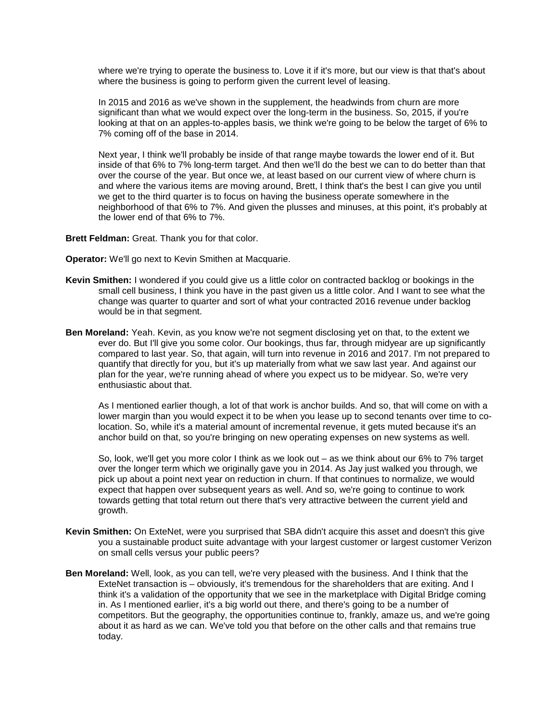where we're trying to operate the business to. Love it if it's more, but our view is that that's about where the business is going to perform given the current level of leasing.

In 2015 and 2016 as we've shown in the supplement, the headwinds from churn are more significant than what we would expect over the long-term in the business. So, 2015, if you're looking at that on an apples-to-apples basis, we think we're going to be below the target of 6% to 7% coming off of the base in 2014.

Next year, I think we'll probably be inside of that range maybe towards the lower end of it. But inside of that 6% to 7% long-term target. And then we'll do the best we can to do better than that over the course of the year. But once we, at least based on our current view of where churn is and where the various items are moving around, Brett, I think that's the best I can give you until we get to the third quarter is to focus on having the business operate somewhere in the neighborhood of that 6% to 7%. And given the plusses and minuses, at this point, it's probably at the lower end of that 6% to 7%.

**Brett Feldman:** Great. Thank you for that color.

**Operator:** We'll go next to Kevin Smithen at Macquarie.

- **Kevin Smithen:** I wondered if you could give us a little color on contracted backlog or bookings in the small cell business, I think you have in the past given us a little color. And I want to see what the change was quarter to quarter and sort of what your contracted 2016 revenue under backlog would be in that segment.
- **Ben Moreland:** Yeah. Kevin, as you know we're not segment disclosing yet on that, to the extent we ever do. But I'll give you some color. Our bookings, thus far, through midyear are up significantly compared to last year. So, that again, will turn into revenue in 2016 and 2017. I'm not prepared to quantify that directly for you, but it's up materially from what we saw last year. And against our plan for the year, we're running ahead of where you expect us to be midyear. So, we're very enthusiastic about that.

As I mentioned earlier though, a lot of that work is anchor builds. And so, that will come on with a lower margin than you would expect it to be when you lease up to second tenants over time to colocation. So, while it's a material amount of incremental revenue, it gets muted because it's an anchor build on that, so you're bringing on new operating expenses on new systems as well.

So, look, we'll get you more color I think as we look out – as we think about our 6% to 7% target over the longer term which we originally gave you in 2014. As Jay just walked you through, we pick up about a point next year on reduction in churn. If that continues to normalize, we would expect that happen over subsequent years as well. And so, we're going to continue to work towards getting that total return out there that's very attractive between the current yield and growth.

- **Kevin Smithen:** On ExteNet, were you surprised that SBA didn't acquire this asset and doesn't this give you a sustainable product suite advantage with your largest customer or largest customer Verizon on small cells versus your public peers?
- **Ben Moreland:** Well, look, as you can tell, we're very pleased with the business. And I think that the ExteNet transaction is – obviously, it's tremendous for the shareholders that are exiting. And I think it's a validation of the opportunity that we see in the marketplace with Digital Bridge coming in. As I mentioned earlier, it's a big world out there, and there's going to be a number of competitors. But the geography, the opportunities continue to, frankly, amaze us, and we're going about it as hard as we can. We've told you that before on the other calls and that remains true today.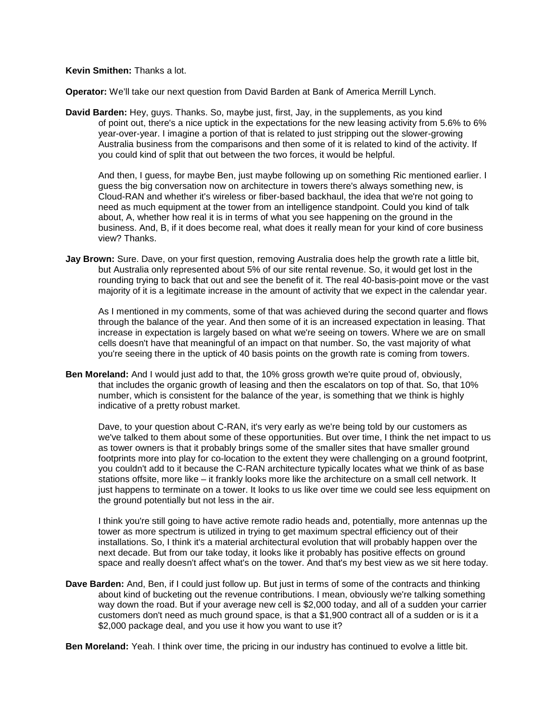**Kevin Smithen:** Thanks a lot.

**Operator:** We'll take our next question from David Barden at Bank of America Merrill Lynch.

**David Barden:** Hey, guys. Thanks. So, maybe just, first, Jay, in the supplements, as you kind of point out, there's a nice uptick in the expectations for the new leasing activity from 5.6% to 6% year-over-year. I imagine a portion of that is related to just stripping out the slower-growing Australia business from the comparisons and then some of it is related to kind of the activity. If you could kind of split that out between the two forces, it would be helpful.

And then, I guess, for maybe Ben, just maybe following up on something Ric mentioned earlier. I guess the big conversation now on architecture in towers there's always something new, is Cloud-RAN and whether it's wireless or fiber-based backhaul, the idea that we're not going to need as much equipment at the tower from an intelligence standpoint. Could you kind of talk about, A, whether how real it is in terms of what you see happening on the ground in the business. And, B, if it does become real, what does it really mean for your kind of core business view? Thanks.

**Jay Brown:** Sure. Dave, on your first question, removing Australia does help the growth rate a little bit, but Australia only represented about 5% of our site rental revenue. So, it would get lost in the rounding trying to back that out and see the benefit of it. The real 40-basis-point move or the vast majority of it is a legitimate increase in the amount of activity that we expect in the calendar year.

As I mentioned in my comments, some of that was achieved during the second quarter and flows through the balance of the year. And then some of it is an increased expectation in leasing. That increase in expectation is largely based on what we're seeing on towers. Where we are on small cells doesn't have that meaningful of an impact on that number. So, the vast majority of what you're seeing there in the uptick of 40 basis points on the growth rate is coming from towers.

**Ben Moreland:** And I would just add to that, the 10% gross growth we're quite proud of, obviously, that includes the organic growth of leasing and then the escalators on top of that. So, that 10% number, which is consistent for the balance of the year, is something that we think is highly indicative of a pretty robust market.

Dave, to your question about C-RAN, it's very early as we're being told by our customers as we've talked to them about some of these opportunities. But over time, I think the net impact to us as tower owners is that it probably brings some of the smaller sites that have smaller ground footprints more into play for co-location to the extent they were challenging on a ground footprint, you couldn't add to it because the C-RAN architecture typically locates what we think of as base stations offsite, more like – it frankly looks more like the architecture on a small cell network. It just happens to terminate on a tower. It looks to us like over time we could see less equipment on the ground potentially but not less in the air.

I think you're still going to have active remote radio heads and, potentially, more antennas up the tower as more spectrum is utilized in trying to get maximum spectral efficiency out of their installations. So, I think it's a material architectural evolution that will probably happen over the next decade. But from our take today, it looks like it probably has positive effects on ground space and really doesn't affect what's on the tower. And that's my best view as we sit here today.

**Dave Barden:** And, Ben, if I could just follow up. But just in terms of some of the contracts and thinking about kind of bucketing out the revenue contributions. I mean, obviously we're talking something way down the road. But if your average new cell is \$2,000 today, and all of a sudden your carrier customers don't need as much ground space, is that a \$1,900 contract all of a sudden or is it a \$2,000 package deal, and you use it how you want to use it?

**Ben Moreland:** Yeah. I think over time, the pricing in our industry has continued to evolve a little bit.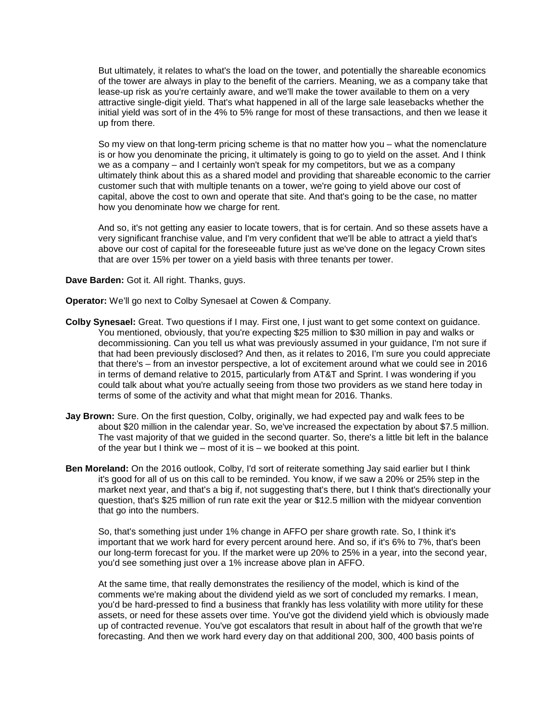But ultimately, it relates to what's the load on the tower, and potentially the shareable economics of the tower are always in play to the benefit of the carriers. Meaning, we as a company take that lease-up risk as you're certainly aware, and we'll make the tower available to them on a very attractive single-digit yield. That's what happened in all of the large sale leasebacks whether the initial yield was sort of in the 4% to 5% range for most of these transactions, and then we lease it up from there.

So my view on that long-term pricing scheme is that no matter how you – what the nomenclature is or how you denominate the pricing, it ultimately is going to go to yield on the asset. And I think we as a company – and I certainly won't speak for my competitors, but we as a company ultimately think about this as a shared model and providing that shareable economic to the carrier customer such that with multiple tenants on a tower, we're going to yield above our cost of capital, above the cost to own and operate that site. And that's going to be the case, no matter how you denominate how we charge for rent.

And so, it's not getting any easier to locate towers, that is for certain. And so these assets have a very significant franchise value, and I'm very confident that we'll be able to attract a yield that's above our cost of capital for the foreseeable future just as we've done on the legacy Crown sites that are over 15% per tower on a yield basis with three tenants per tower.

**Dave Barden:** Got it. All right. Thanks, guys.

**Operator:** We'll go next to Colby Synesael at Cowen & Company.

- **Colby Synesael:** Great. Two questions if I may. First one, I just want to get some context on guidance. You mentioned, obviously, that you're expecting \$25 million to \$30 million in pay and walks or decommissioning. Can you tell us what was previously assumed in your guidance, I'm not sure if that had been previously disclosed? And then, as it relates to 2016, I'm sure you could appreciate that there's – from an investor perspective, a lot of excitement around what we could see in 2016 in terms of demand relative to 2015, particularly from AT&T and Sprint. I was wondering if you could talk about what you're actually seeing from those two providers as we stand here today in terms of some of the activity and what that might mean for 2016. Thanks.
- **Jay Brown:** Sure. On the first question, Colby, originally, we had expected pay and walk fees to be about \$20 million in the calendar year. So, we've increased the expectation by about \$7.5 million. The vast majority of that we guided in the second quarter. So, there's a little bit left in the balance of the year but I think we – most of it is – we booked at this point.
- **Ben Moreland:** On the 2016 outlook, Colby, I'd sort of reiterate something Jay said earlier but I think it's good for all of us on this call to be reminded. You know, if we saw a 20% or 25% step in the market next year, and that's a big if, not suggesting that's there, but I think that's directionally your question, that's \$25 million of run rate exit the year or \$12.5 million with the midyear convention that go into the numbers.

So, that's something just under 1% change in AFFO per share growth rate. So, I think it's important that we work hard for every percent around here. And so, if it's 6% to 7%, that's been our long-term forecast for you. If the market were up 20% to 25% in a year, into the second year, you'd see something just over a 1% increase above plan in AFFO.

At the same time, that really demonstrates the resiliency of the model, which is kind of the comments we're making about the dividend yield as we sort of concluded my remarks. I mean, you'd be hard-pressed to find a business that frankly has less volatility with more utility for these assets, or need for these assets over time. You've got the dividend yield which is obviously made up of contracted revenue. You've got escalators that result in about half of the growth that we're forecasting. And then we work hard every day on that additional 200, 300, 400 basis points of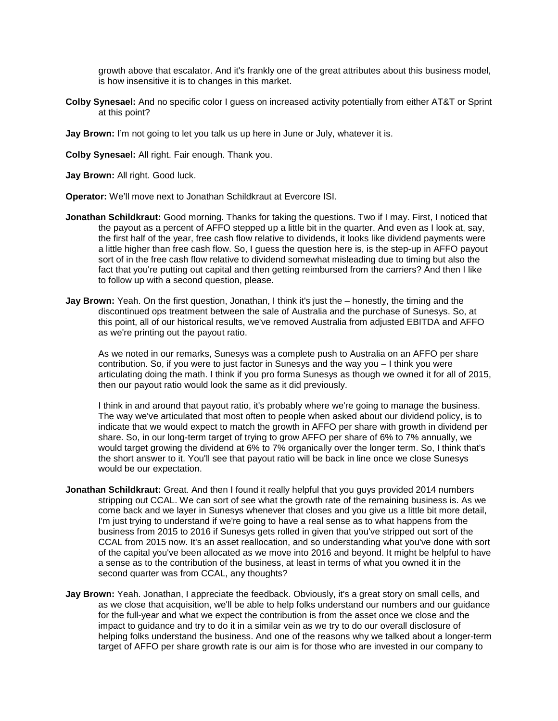growth above that escalator. And it's frankly one of the great attributes about this business model, is how insensitive it is to changes in this market.

**Colby Synesael:** And no specific color I guess on increased activity potentially from either AT&T or Sprint at this point?

**Jay Brown:** I'm not going to let you talk us up here in June or July, whatever it is.

**Colby Synesael:** All right. Fair enough. Thank you.

**Jay Brown:** All right. Good luck.

**Operator:** We'll move next to Jonathan Schildkraut at Evercore ISI.

- **Jonathan Schildkraut:** Good morning. Thanks for taking the questions. Two if I may. First, I noticed that the payout as a percent of AFFO stepped up a little bit in the quarter. And even as I look at, say, the first half of the year, free cash flow relative to dividends, it looks like dividend payments were a little higher than free cash flow. So, I guess the question here is, is the step-up in AFFO payout sort of in the free cash flow relative to dividend somewhat misleading due to timing but also the fact that you're putting out capital and then getting reimbursed from the carriers? And then I like to follow up with a second question, please.
- **Jay Brown:** Yeah. On the first question, Jonathan, I think it's just the honestly, the timing and the discontinued ops treatment between the sale of Australia and the purchase of Sunesys. So, at this point, all of our historical results, we've removed Australia from adjusted EBITDA and AFFO as we're printing out the payout ratio.

As we noted in our remarks, Sunesys was a complete push to Australia on an AFFO per share contribution. So, if you were to just factor in Sunesys and the way you – I think you were articulating doing the math. I think if you pro forma Sunesys as though we owned it for all of 2015, then our payout ratio would look the same as it did previously.

I think in and around that payout ratio, it's probably where we're going to manage the business. The way we've articulated that most often to people when asked about our dividend policy, is to indicate that we would expect to match the growth in AFFO per share with growth in dividend per share. So, in our long-term target of trying to grow AFFO per share of 6% to 7% annually, we would target growing the dividend at 6% to 7% organically over the longer term. So, I think that's the short answer to it. You'll see that payout ratio will be back in line once we close Sunesys would be our expectation.

- **Jonathan Schildkraut:** Great. And then I found it really helpful that you guys provided 2014 numbers stripping out CCAL. We can sort of see what the growth rate of the remaining business is. As we come back and we layer in Sunesys whenever that closes and you give us a little bit more detail, I'm just trying to understand if we're going to have a real sense as to what happens from the business from 2015 to 2016 if Sunesys gets rolled in given that you've stripped out sort of the CCAL from 2015 now. It's an asset reallocation, and so understanding what you've done with sort of the capital you've been allocated as we move into 2016 and beyond. It might be helpful to have a sense as to the contribution of the business, at least in terms of what you owned it in the second quarter was from CCAL, any thoughts?
- **Jay Brown:** Yeah. Jonathan, I appreciate the feedback. Obviously, it's a great story on small cells, and as we close that acquisition, we'll be able to help folks understand our numbers and our guidance for the full-year and what we expect the contribution is from the asset once we close and the impact to guidance and try to do it in a similar vein as we try to do our overall disclosure of helping folks understand the business. And one of the reasons why we talked about a longer-term target of AFFO per share growth rate is our aim is for those who are invested in our company to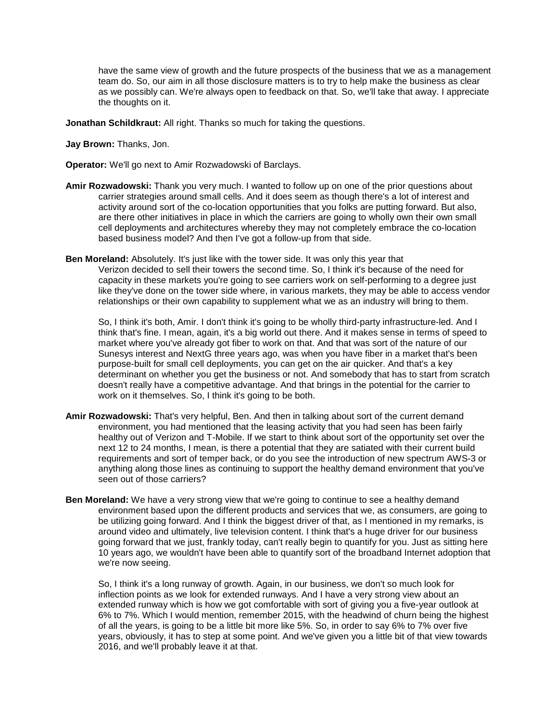have the same view of growth and the future prospects of the business that we as a management team do. So, our aim in all those disclosure matters is to try to help make the business as clear as we possibly can. We're always open to feedback on that. So, we'll take that away. I appreciate the thoughts on it.

**Jonathan Schildkraut:** All right. Thanks so much for taking the questions.

### **Jay Brown:** Thanks, Jon.

**Operator:** We'll go next to Amir Rozwadowski of Barclays.

- **Amir Rozwadowski:** Thank you very much. I wanted to follow up on one of the prior questions about carrier strategies around small cells. And it does seem as though there's a lot of interest and activity around sort of the co-location opportunities that you folks are putting forward. But also, are there other initiatives in place in which the carriers are going to wholly own their own small cell deployments and architectures whereby they may not completely embrace the co-location based business model? And then I've got a follow-up from that side.
- **Ben Moreland:** Absolutely. It's just like with the tower side. It was only this year that Verizon decided to sell their towers the second time. So, I think it's because of the need for capacity in these markets you're going to see carriers work on self-performing to a degree just like they've done on the tower side where, in various markets, they may be able to access vendor relationships or their own capability to supplement what we as an industry will bring to them.

So, I think it's both, Amir. I don't think it's going to be wholly third-party infrastructure-led. And I think that's fine. I mean, again, it's a big world out there. And it makes sense in terms of speed to market where you've already got fiber to work on that. And that was sort of the nature of our Sunesys interest and NextG three years ago, was when you have fiber in a market that's been purpose-built for small cell deployments, you can get on the air quicker. And that's a key determinant on whether you get the business or not. And somebody that has to start from scratch doesn't really have a competitive advantage. And that brings in the potential for the carrier to work on it themselves. So, I think it's going to be both.

- **Amir Rozwadowski:** That's very helpful, Ben. And then in talking about sort of the current demand environment, you had mentioned that the leasing activity that you had seen has been fairly healthy out of Verizon and T-Mobile. If we start to think about sort of the opportunity set over the next 12 to 24 months, I mean, is there a potential that they are satiated with their current build requirements and sort of temper back, or do you see the introduction of new spectrum AWS-3 or anything along those lines as continuing to support the healthy demand environment that you've seen out of those carriers?
- **Ben Moreland:** We have a very strong view that we're going to continue to see a healthy demand environment based upon the different products and services that we, as consumers, are going to be utilizing going forward. And I think the biggest driver of that, as I mentioned in my remarks, is around video and ultimately, live television content. I think that's a huge driver for our business going forward that we just, frankly today, can't really begin to quantify for you. Just as sitting here 10 years ago, we wouldn't have been able to quantify sort of the broadband Internet adoption that we're now seeing.

So, I think it's a long runway of growth. Again, in our business, we don't so much look for inflection points as we look for extended runways. And I have a very strong view about an extended runway which is how we got comfortable with sort of giving you a five-year outlook at 6% to 7%. Which I would mention, remember 2015, with the headwind of churn being the highest of all the years, is going to be a little bit more like 5%. So, in order to say 6% to 7% over five years, obviously, it has to step at some point. And we've given you a little bit of that view towards 2016, and we'll probably leave it at that.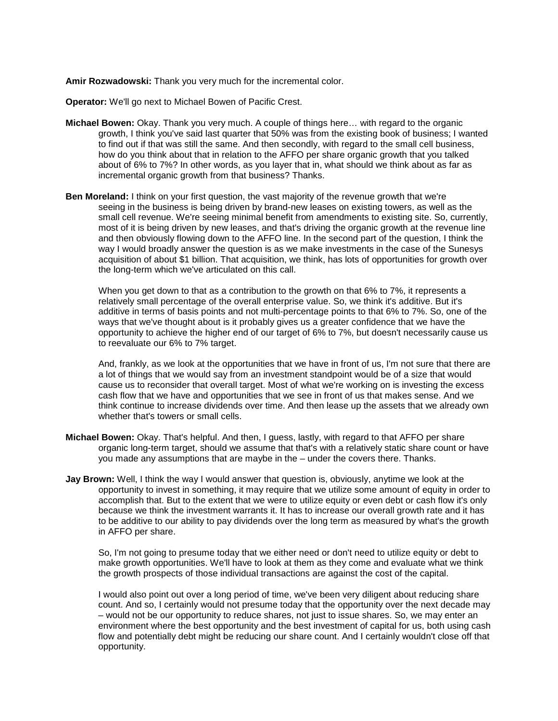**Amir Rozwadowski:** Thank you very much for the incremental color.

**Operator:** We'll go next to Michael Bowen of Pacific Crest.

- **Michael Bowen:** Okay. Thank you very much. A couple of things here… with regard to the organic growth, I think you've said last quarter that 50% was from the existing book of business; I wanted to find out if that was still the same. And then secondly, with regard to the small cell business, how do you think about that in relation to the AFFO per share organic growth that you talked about of 6% to 7%? In other words, as you layer that in, what should we think about as far as incremental organic growth from that business? Thanks.
- **Ben Moreland:** I think on your first question, the vast majority of the revenue growth that we're seeing in the business is being driven by brand-new leases on existing towers, as well as the small cell revenue. We're seeing minimal benefit from amendments to existing site. So, currently, most of it is being driven by new leases, and that's driving the organic growth at the revenue line and then obviously flowing down to the AFFO line. In the second part of the question, I think the way I would broadly answer the question is as we make investments in the case of the Sunesys acquisition of about \$1 billion. That acquisition, we think, has lots of opportunities for growth over the long-term which we've articulated on this call.

When you get down to that as a contribution to the growth on that 6% to 7%, it represents a relatively small percentage of the overall enterprise value. So, we think it's additive. But it's additive in terms of basis points and not multi-percentage points to that 6% to 7%. So, one of the ways that we've thought about is it probably gives us a greater confidence that we have the opportunity to achieve the higher end of our target of 6% to 7%, but doesn't necessarily cause us to reevaluate our 6% to 7% target.

And, frankly, as we look at the opportunities that we have in front of us, I'm not sure that there are a lot of things that we would say from an investment standpoint would be of a size that would cause us to reconsider that overall target. Most of what we're working on is investing the excess cash flow that we have and opportunities that we see in front of us that makes sense. And we think continue to increase dividends over time. And then lease up the assets that we already own whether that's towers or small cells.

- **Michael Bowen:** Okay. That's helpful. And then, I guess, lastly, with regard to that AFFO per share organic long-term target, should we assume that that's with a relatively static share count or have you made any assumptions that are maybe in the – under the covers there. Thanks.
- **Jay Brown:** Well, I think the way I would answer that question is, obviously, anytime we look at the opportunity to invest in something, it may require that we utilize some amount of equity in order to accomplish that. But to the extent that we were to utilize equity or even debt or cash flow it's only because we think the investment warrants it. It has to increase our overall growth rate and it has to be additive to our ability to pay dividends over the long term as measured by what's the growth in AFFO per share.

So. I'm not going to presume today that we either need or don't need to utilize equity or debt to make growth opportunities. We'll have to look at them as they come and evaluate what we think the growth prospects of those individual transactions are against the cost of the capital.

I would also point out over a long period of time, we've been very diligent about reducing share count. And so, I certainly would not presume today that the opportunity over the next decade may – would not be our opportunity to reduce shares, not just to issue shares. So, we may enter an environment where the best opportunity and the best investment of capital for us, both using cash flow and potentially debt might be reducing our share count. And I certainly wouldn't close off that opportunity.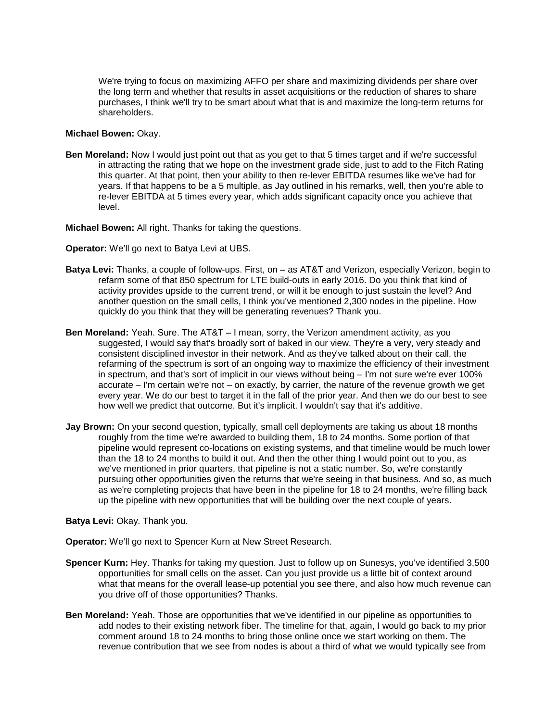We're trying to focus on maximizing AFFO per share and maximizing dividends per share over the long term and whether that results in asset acquisitions or the reduction of shares to share purchases, I think we'll try to be smart about what that is and maximize the long-term returns for shareholders.

#### **Michael Bowen:** Okay.

**Ben Moreland:** Now I would just point out that as you get to that 5 times target and if we're successful in attracting the rating that we hope on the investment grade side, just to add to the Fitch Rating this quarter. At that point, then your ability to then re-lever EBITDA resumes like we've had for years. If that happens to be a 5 multiple, as Jay outlined in his remarks, well, then you're able to re-lever EBITDA at 5 times every year, which adds significant capacity once you achieve that level.

**Michael Bowen:** All right. Thanks for taking the questions.

**Operator:** We'll go next to Batya Levi at UBS.

- **Batya Levi:** Thanks, a couple of follow-ups. First, on as AT&T and Verizon, especially Verizon, begin to refarm some of that 850 spectrum for LTE build-outs in early 2016. Do you think that kind of activity provides upside to the current trend, or will it be enough to just sustain the level? And another question on the small cells, I think you've mentioned 2,300 nodes in the pipeline. How quickly do you think that they will be generating revenues? Thank you.
- **Ben Moreland:** Yeah. Sure. The AT&T I mean, sorry, the Verizon amendment activity, as you suggested, I would say that's broadly sort of baked in our view. They're a very, very steady and consistent disciplined investor in their network. And as they've talked about on their call, the refarming of the spectrum is sort of an ongoing way to maximize the efficiency of their investment in spectrum, and that's sort of implicit in our views without being – I'm not sure we're ever 100% accurate – I'm certain we're not – on exactly, by carrier, the nature of the revenue growth we get every year. We do our best to target it in the fall of the prior year. And then we do our best to see how well we predict that outcome. But it's implicit. I wouldn't say that it's additive.
- **Jay Brown:** On your second question, typically, small cell deployments are taking us about 18 months roughly from the time we're awarded to building them, 18 to 24 months. Some portion of that pipeline would represent co-locations on existing systems, and that timeline would be much lower than the 18 to 24 months to build it out. And then the other thing I would point out to you, as we've mentioned in prior quarters, that pipeline is not a static number. So, we're constantly pursuing other opportunities given the returns that we're seeing in that business. And so, as much as we're completing projects that have been in the pipeline for 18 to 24 months, we're filling back up the pipeline with new opportunities that will be building over the next couple of years.

## **Batya Levi:** Okay. Thank you.

**Operator:** We'll go next to Spencer Kurn at New Street Research.

- **Spencer Kurn:** Hey. Thanks for taking my question. Just to follow up on Sunesys, you've identified 3,500 opportunities for small cells on the asset. Can you just provide us a little bit of context around what that means for the overall lease-up potential you see there, and also how much revenue can you drive off of those opportunities? Thanks.
- **Ben Moreland:** Yeah. Those are opportunities that we've identified in our pipeline as opportunities to add nodes to their existing network fiber. The timeline for that, again, I would go back to my prior comment around 18 to 24 months to bring those online once we start working on them. The revenue contribution that we see from nodes is about a third of what we would typically see from